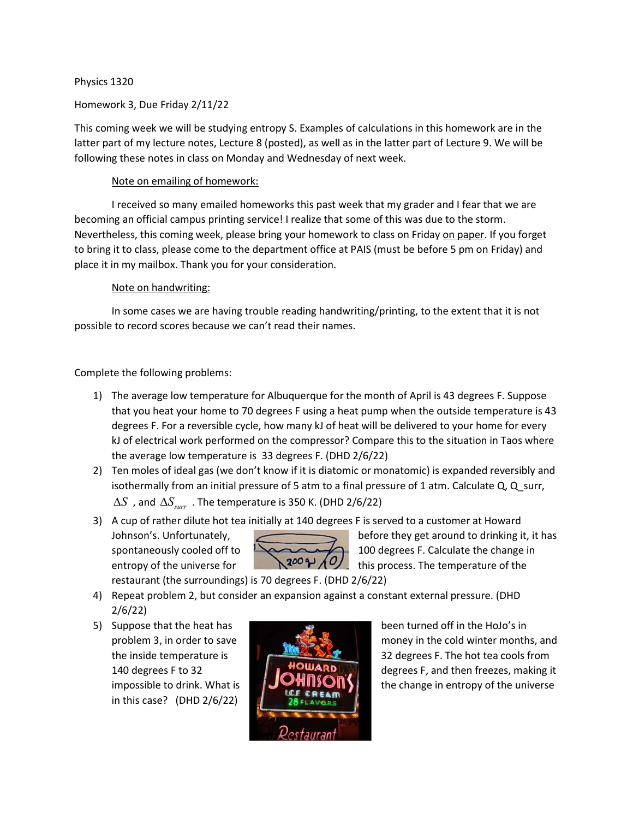## Physics 1320

## Homework 3, Due Friday 2/11/22

This coming week we will be studying entropy S. Examples of calculations in this homework are in the latter part of my lecture notes, Lecture 8 (posted), as well as in the latter part of Lecture 9. We will be following these notes in class on Monday and Wednesday of next week.

# Note on emailing of homework:

I received so many emailed homeworks this past week that my grader and I fear that we are becoming an official campus printing service! I realize that some of this was due to the storm. Nevertheless, this coming week, please bring your homework to class on Friday on paper. If you forget to bring it to class, please come to the department office at PAIS (must be before 5 pm on Friday) and place it in my mailbox. Thank you for your consideration.

## Note on handwriting:

In some cases we are having trouble reading handwriting/printing, to the extent that it is not possible to record scores because we can't read their names.

# Complete the following problems:

- 1) The average low temperature for Albuquerque for the month of April is 43 degrees F. Suppose that you heat your home to 70 degrees F using a heat pump when the outside temperature is 43 degrees F. For a reversible cycle, how many kJ of heat will be delivered to your home for every kJ of electrical work performed on the compressor? Compare this to the situation in Taos where the average low temperature is 33 degrees F. (DHD 2/6/22)
- 2) Ten moles of ideal gas (we don't know if it is diatomic or monatomic) is expanded reversibly and isothermally from an initial pressure of 5 atm to a final pressure of 1 atm. Calculate Q, Q\_surr,  $\Delta S$ , and  $\Delta S_{\text{surr}}$ . The temperature is 350 K. (DHD 2/6/22)
- 3) A cup of rather dilute hot tea initially at 140 degrees F is served to a customer at Howard
	-



Johnson's. Unfortunately, before they get around to drinking it, it has spontaneously cooled off to  $\sqrt{200}$  100 degrees F. Calculate the change in entropy of the universe for  $\mathbb{R}^{200}$   $\mathcal{H}$  this process. The temperature of the

restaurant (the surroundings) is 70 degrees F. (DHD 2/6/22)

- 4) Repeat problem 2, but consider an expansion against a constant external pressure. (DHD 2/6/22)
- 5) Suppose that the heat has been turned off in the HoJo's in in this case? (DHD 2/6/22)



problem 3, in order to save money in the cold winter months, and the inside temperature is **1990 and 1990 and 1990 and 1990 and 1990 and 1990 and 1990 and 1990 and 1990 and 1990** 140 degrees F to 32 degrees F, and then freezes, making it impossible to drink. What is  $\left\{\begin{array}{c} \bullet \end{array}\right\}$  the change in entropy of the universe